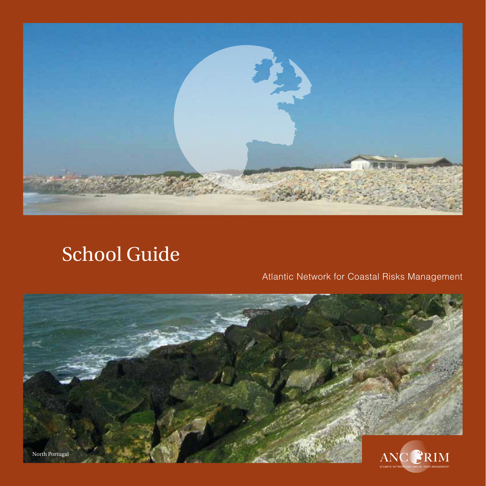

# School Guide

# Atlantic Network for Coastal Risks Management

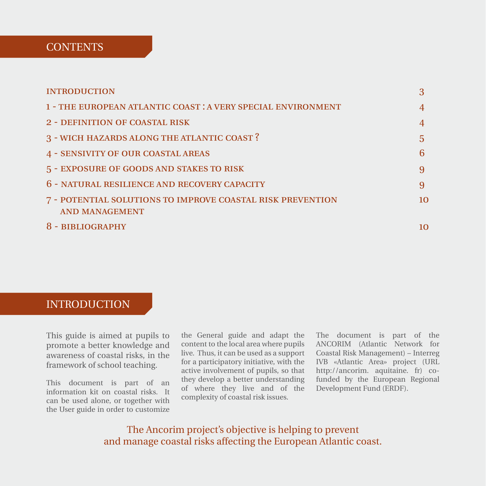# **CONTENTS**

| <b>INTRODUCTION</b>                                                                 |    |
|-------------------------------------------------------------------------------------|----|
| 1 - THE EUROPEAN ATLANTIC COAST : A VERY SPECIAL ENVIRONMENT                        | 4  |
| <b>2 - DEFINITION OF COASTAL RISK</b>                                               | 4  |
| 3 - WICH HAZARDS ALONG THE ATLANTIC COAST?                                          | 5  |
| <b>4 - SENSIVITY OF OUR COASTAL AREAS</b>                                           | 6  |
| 5 - EXPOSURE OF GOODS AND STAKES TO RISK                                            | 9  |
| 6 - NATURAL RESILIENCE AND RECOVERY CAPACITY                                        | 9  |
| 7 - POTENTIAL SOLUTIONS TO IMPROVE COASTAL RISK PREVENTION<br><b>AND MANAGEMENT</b> | 10 |
| 8 - BIBLIOGRAPHY                                                                    | 10 |

# **INTRODUCTION**

This guide is aimed at pupils to promote a better knowledge and awareness of coastal risks, in the framework of school teaching.

This document is part of an information kit on coastal risks. It can be used alone, or together with the User guide in order to customize

the General guide and adapt the content to the local area where pupils live. Thus, it can be used as a support for a participatory initiative, with the active involvement of pupils, so that they develop a better understanding of where they live and of the complexity of coastal risk issues.

The document is part of the ANCORIM (Atlantic Network for Coastal Risk Management) – Interreg IVB «Atlantic Area» project (URL http://ancorim. aquitaine. fr) cofunded by the European Regional Development Fund (ERDF).

The Ancorim project's objective is helping to prevent and manage coastal risks affecting the European Atlantic coast.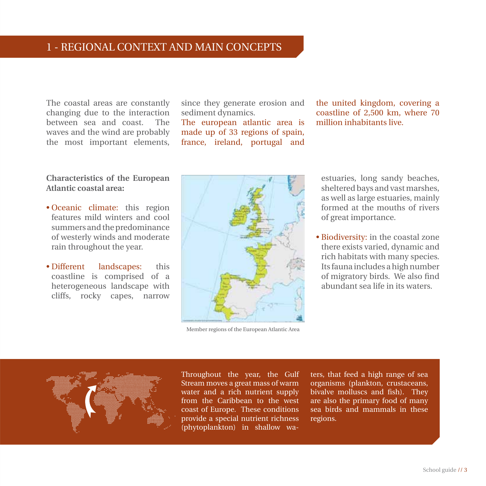The coastal areas are constantly changing due to the interaction between sea and coast. The waves and the wind are probably the most important elements,

#### **Characteristics of the European Atlantic coastal area:**

- Oceanic climate: this region features mild winters and cool summers and the predominance of westerly winds and moderate rain throughout the year.
- Different landscapes: this coastline is comprised of a heterogeneous landscape with cliffs, rocky capes, narrow

since they generate erosion and sediment dynamics.

The european atlantic area is made up of 33 regions of spain, france, ireland, portugal and the united kingdom, covering a coastline of 2,500 km, where 70 million inhabitants live.

estuaries, long sandy beaches, sheltered bays and vast marshes, as well as large estuaries, mainly formed at the mouths of rivers of great importance.

• Biodiversity: in the coastal zone there exists varied, dynamic and rich habitats with many species. Its fauna includes a high number of migratory birds. We also find abundant sea life in its waters.

Throughout the year, the Gulf Stream moves a great mass of warm water and a rich nutrient supply from the Caribbean to the west coast of Europe. These conditions

ters, that feed a high range of sea organisms (plankton, crustaceans, bivalve molluscs and fish). They are also the primary food of many sea birds and mammals in these regions.



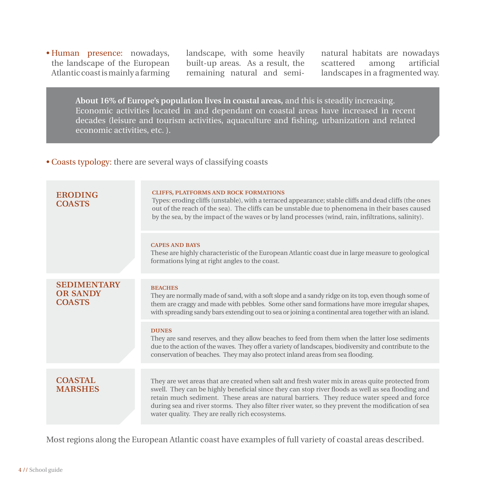• Human presence: nowadays, the landscape of the European Atlantic coast is mainly a farming landscape, with some heavily built-up areas. As a result, the remaining natural and seminatural habitats are nowadays<br>scattered among artificial scattered landscapes in a fragmented way.

**About 16% of Europe's population lives in coastal areas,** and this is steadily increasing. Economic activities located in and dependant on coastal areas have increased in recent decades (leisure and tourism activities, aquaculture and fishing, urbanization and related economic activities, etc. ).

• Coasts typology: there are several ways of classifying coasts

| <b>ERODING</b><br><b>COASTS</b>                        | <b>CLIFFS, PLATFORMS AND ROCK FORMATIONS</b><br>Types: eroding cliffs (unstable), with a terraced appearance; stable cliffs and dead cliffs (the ones<br>out of the reach of the sea). The cliffs can be unstable due to phenomena in their bases caused<br>by the sea, by the impact of the waves or by land processes (wind, rain, infiltrations, salinity). |
|--------------------------------------------------------|----------------------------------------------------------------------------------------------------------------------------------------------------------------------------------------------------------------------------------------------------------------------------------------------------------------------------------------------------------------|
|                                                        | <b>CAPES AND BAYS</b><br>These are highly characteristic of the European Atlantic coast due in large measure to geological<br>formations lying at right angles to the coast.                                                                                                                                                                                   |
| <b>SEDIMENTARY</b><br><b>OR SANDY</b><br><b>COASTS</b> | <b>BEACHES</b><br>They are normally made of sand, with a soft slope and a sandy ridge on its top, even though some of<br>them are craggy and made with pebbles. Some other sand formations have more irregular shapes,<br>with spreading sandy bars extending out to sea or joining a continental area together with an island.                                |
|                                                        | <b>DUNES</b><br>They are sand reserves, and they allow beaches to feed from them when the latter lose sediments<br>due to the action of the waves. They offer a variety of landscapes, biodiversity and contribute to the<br>conservation of beaches. They may also protect inland areas from sea flooding.                                                    |
| <b>COASTAL</b>                                         | They are wet areas that are created when salt and fresh water mix in areas quite protected from                                                                                                                                                                                                                                                                |
| <b>MARSHES</b>                                         | swell. They can be highly beneficial since they can stop river floods as well as sea flooding and<br>retain much sediment. These areas are natural barriers. They reduce water speed and force<br>during sea and river storms. They also filter river water, so they prevent the modification of sea<br>water quality. They are really rich ecosystems.        |

Most regions along the European Atlantic coast have examples of full variety of coastal areas described.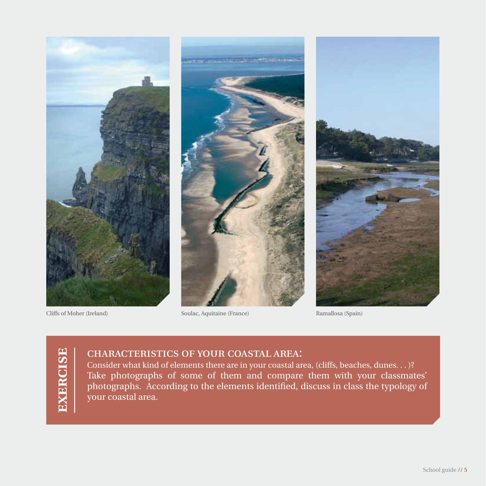



Cliffs of Moher (Ireland) Soulac, Aquitaine (France) Ramallosa (Spain)



# characteristics of your coastal area:

Consider what kind of elements there are in your coastal area, (cliffs, beaches, dunes. . . )? Take photographs of some of them and compare them with your classmates' photographs. According to the elements identified, discuss in class the typology of your coastal area.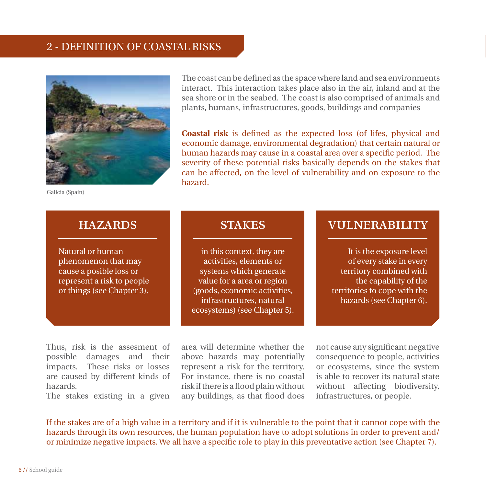# 2 - definition of coastal risks



Galicia (Spain)

The coast can be defined as the space where land and sea environments interact. This interaction takes place also in the air, inland and at the sea shore or in the seabed. The coast is also comprised of animals and plants, humans, infrastructures, goods, buildings and companies

**Coastal risk** is defined as the expected loss (of lifes, physical and economic damage, environmental degradation) that certain natural or human hazards may cause in a coastal area over a specific period. The severity of these potential risks basically depends on the stakes that can be affected, on the level of vulnerability and on exposure to the hazard.

Natural or human phenomenon that may cause a posible loss or represent a risk to people or things (see Chapter 3).

in this context, they are activities, elements or systems which generate value for a area or region (goods, economic activities, infrastructures, natural ecosystems) (see Chapter 5).

# hazards stakes vulnerability

It is the exposure level of every stake in every territory combined with the capability of the territories to cope with the hazards (see Chapter 6).

Thus, risk is the assesment of possible damages and their impacts. These risks or losses are caused by different kinds of hazards.

The stakes existing in a given

area will determine whether the above hazards may potentially represent a risk for the territory. For instance, there is no coastal risk if there is a flood plain without any buildings, as that flood does

not cause any significant negative consequence to people, activities or ecosystems, since the system is able to recover its natural state without affecting biodiversity, infrastructures, or people.

If the stakes are of a high value in a territory and if it is vulnerable to the point that it cannot cope with the hazards through its own resources, the human population have to adopt solutions in order to prevent and/ or minimize negative impacts. We all have a specific role to play in this preventative action (see Chapter 7).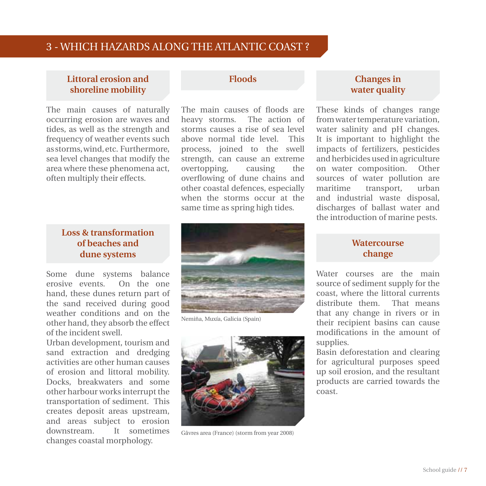# 3 - which hazards along the atlantic coast ?

### **Littoral erosion and shoreline mobility**

The main causes of naturally occurring erosion are waves and tides, as well as the strength and frequency of weather events such as storms, wind, etc. Furthermore, sea level changes that modify the area where these phenomena act, often multiply their effects.

### **Loss & transformation of beaches and dune systems**

Some dune systems balance erosive events. On the one hand, these dunes return part of the sand received during good weather conditions and on the other hand, they absorb the effect of the incident swell.

Urban development, tourism and sand extraction and dredging activities are other human causes of erosion and littoral mobility. Docks, breakwaters and some other harbour works interrupt the transportation of sediment. This creates deposit areas upstream, and areas subject to erosion downstream. It sometimes changes coastal morphology.

#### **Floods**

The main causes of floods are heavy storms. The action of storms causes a rise of sea level above normal tide level. This process, joined to the swell strength, can cause an extreme overtopping, causing the overflowing of dune chains and other coastal defences, especially when the storms occur at the same time as spring high tides.



Nemiña, Muxía, Galicia (Spain)



Gâvres area (France) (storm from year 2008)

# **Changes in water quality**

These kinds of changes range from water temperature variation, water salinity and pH changes. It is important to highlight the impacts of fertilizers, pesticides and herbicides used in agriculture on water composition. Other sources of water pollution are maritime transport, urban and industrial waste disposal, discharges of ballast water and the introduction of marine pests.

#### **Watercourse change**

Water courses are the main source of sediment supply for the coast, where the littoral currents distribute them. That means that any change in rivers or in their recipient basins can cause modifications in the amount of supplies.

Basin deforestation and clearing for agricultural purposes speed up soil erosion, and the resultant products are carried towards the coast.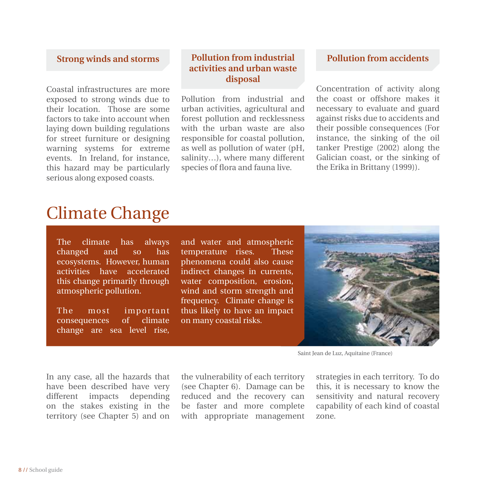### **Strong winds and storms**

Coastal infrastructures are more exposed to strong winds due to their location. Those are some factors to take into account when laying down building regulations for street furniture or designing warning systems for extreme events. In Ireland, for instance, this hazard may be particularly serious along exposed coasts.

# **Pollution from industrial activities and urban waste disposal**

Pollution from industrial and urban activities, agricultural and forest pollution and recklessness with the urban waste are also responsible for coastal pollution. as well as pollution of water (pH, salinity…), where many different species of flora and fauna live.

# **Pollution from accidents**

Concentration of activity along the coast or offshore makes it necessary to evaluate and guard against risks due to accidents and their possible consequences (For instance, the sinking of the oil tanker Prestige (2002) along the Galician coast, or the sinking of the Erika in Brittany (1999)).

# Climate Change

The climate has always changed and so has ecosystems. However, human activities have accelerated this change primarily through atmospheric pollution.

The most important consequences of climate change are sea level rise,

and water and atmospheric temperature rises. These phenomena could also cause indirect changes in currents, water composition, erosion, wind and storm strength and frequency. Climate change is thus likely to have an impact on many coastal risks.



Saint Jean de Luz, Aquitaine (France)

In any case, all the hazards that have been described have very different impacts depending on the stakes existing in the territory (see Chapter 5) and on

the vulnerability of each territory (see Chapter 6). Damage can be reduced and the recovery can be faster and more complete with appropriate management strategies in each territory. To do this, it is necessary to know the sensitivity and natural recovery capability of each kind of coastal zone.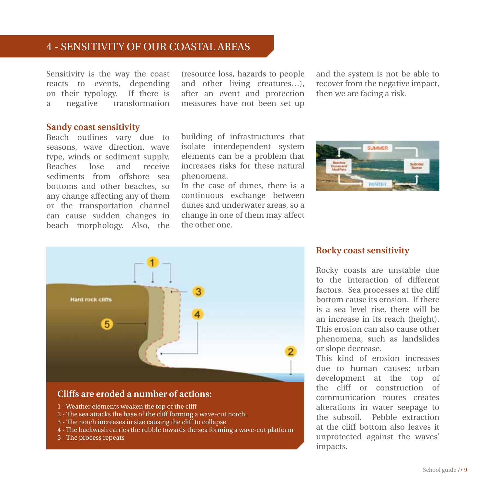# 4 - sensitivity of our coastal areas

Sensitivity is the way the coast reacts to events, depending on their typology. If there is a negative transformation (resource loss, hazards to people and other living creatures…), after an event and protection measures have not been set up

building of infrastructures that isolate interdependent system elements can be a problem that increases risks for these natural

In the case of dunes, there is a continuous exchange between dunes and underwater areas, so a change in one of them may affect

phenomena.

the other one.

and the system is not be able to recover from the negative impact, then we are facing a risk.

#### **Sandy coast sensitivity**

Beach outlines vary due to seasons, wave direction, wave type, winds or sediment supply. Beaches lose and receive sediments from offshore sea bottoms and other beaches, so any change affecting any of them or the transportation channel can cause sudden changes in beach morphology. Also, the





### **Rocky coast sensitivity**

Rocky coasts are unstable due to the interaction of different factors. Sea processes at the cliff bottom cause its erosion. If there is a sea level rise, there will be an increase in its reach (height). This erosion can also cause other phenomena, such as landslides or slope decrease.

This kind of erosion increases due to human causes: urban development at the top of the cliff or construction of communication routes creates alterations in water seepage to the subsoil. Pebble extraction at the cliff bottom also leaves it unprotected against the waves' impacts.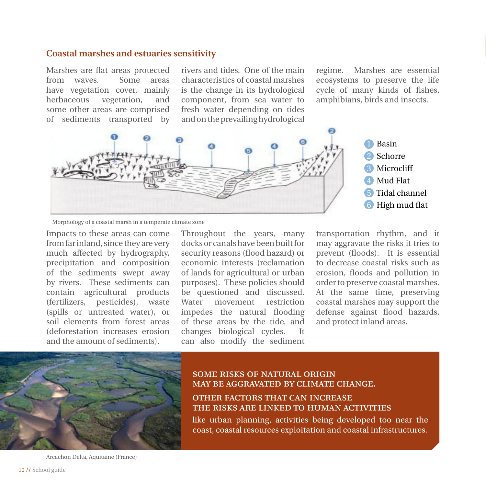#### **Coastal marshes and estuaries sensitivity**

Marshes are flat areas protected<br>from waves Some areas from wayes have vegetation cover, mainly herbaceous vegetation, and some other areas are comprised of sediments transported by

rivers and tides. One of the main characteristics of coastal marshes is the change in its hydrological component, from sea water to fresh water depending on tides and on the prevailing hydrological

regime. Marshes are essential ecosystems to preserve the life cycle of many kinds of fishes, amphibians, birds and insects.



Morphology of a coastal marsh in a temperate climate zone

Impacts to these areas can come from far inland, since they are very much affected by hydrography, precipitation and composition of the sediments swept away by rivers. These sediments can contain agricultural products (fertilizers, pesticides), waste (spills or untreated water), or soil elements from forest areas (deforestation increases erosion and the amount of sediments).

Throughout the years, many docks or canals have been built for security reasons (flood hazard) or economic interests (reclamation of lands for agricultural or urban purposes). These policies should be questioned and discussed. Water movement restriction impedes the natural flooding of these areas by the tide, and changes biological cycles. It can also modify the sediment

transportation rhythm, and it may aggravate the risks it tries to prevent (floods). It is essential to decrease coastal risks such as erosion, floods and pollution in order to preserve coastal marshes. At the same time, preserving coastal marshes may support the defense against flood hazards, and protect inland areas.



#### some risks of natural origin may be aggravated by climate change.

#### other factors that can increase the risks are linked to human activities

like urban planning, activities being developed too near the coast, coastal resources exploitation and coastal infrastructures.

Arcachon Delta, Aquitaine (France)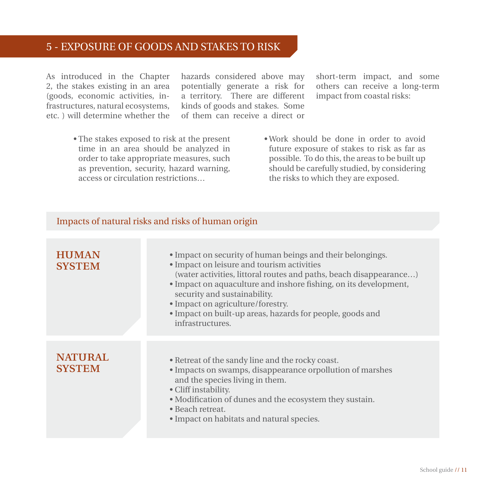# 5 - exposure of goods and stakes to risk

As introduced in the Chapter 2, the stakes existing in an area (goods, economic activities, infrastructures, natural ecosystems, etc. ) will determine whether the hazards considered above may potentially generate a risk for a territory. There are different kinds of goods and stakes. Some of them can receive a direct or short-term impact, and some others can receive a long-term impact from coastal risks:

- The stakes exposed to risk at the present time in an area should be analyzed in order to take appropriate measures, such as prevention, security, hazard warning, access or circulation restrictions…
- Work should be done in order to avoid future exposure of stakes to risk as far as possible. To do this, the areas to be built up should be carefully studied, by considering the risks to which they are exposed.

# Impacts of natural risks and risks of human origin

| <b>HUMAN</b><br><b>SYSTEM</b>   | • Impact on security of human beings and their belongings.<br>• Impact on leisure and tourism activities<br>(water activities, littoral routes and paths, beach disappearance)<br>• Impact on aquaculture and inshore fishing, on its development,<br>security and sustainability.<br>• Impact on agriculture/forestry.<br>• Impact on built-up areas, hazards for people, goods and<br>infrastructures. |
|---------------------------------|----------------------------------------------------------------------------------------------------------------------------------------------------------------------------------------------------------------------------------------------------------------------------------------------------------------------------------------------------------------------------------------------------------|
| <b>NATURAL</b><br><b>SYSTEM</b> | • Retreat of the sandy line and the rocky coast.<br>• Impacts on swamps, disappearance orpollution of marshes<br>and the species living in them.<br>• Cliff instability.<br>• Modification of dunes and the ecosystem they sustain.<br>• Beach retreat.<br>• Impact on habitats and natural species.                                                                                                     |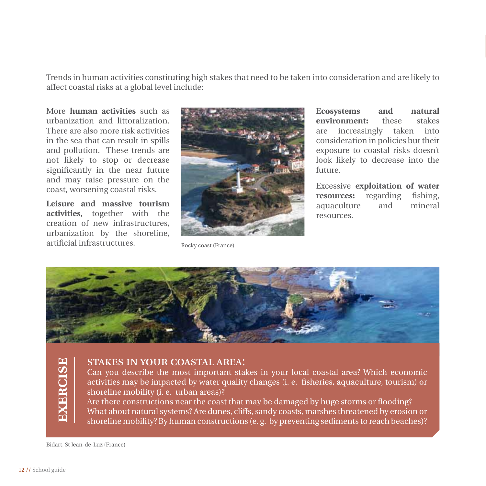Trends in human activities constituting high stakes that need to be taken into consideration and are likely to affect coastal risks at a global level include:

More **human activities** such as urbanization and littoralization. There are also more risk activities in the sea that can result in spills and pollution. These trends are not likely to stop or decrease significantly in the near future and may raise pressure on the coast, worsening coastal risks.

**Leisure and massive tourism activities**, together with the creation of new infrastructures, urbanization by the shoreline, artificial infrastructures.



Rocky coast (France)

**Ecosystems and natural environment:** these stakes are increasingly taken into consideration in policies but their exposure to coastal risks doesn't look likely to decrease into the future.

Excessive **exploitation of water resources:** regarding fishing, aquaculture and mineral resources.



#### stakes in your coastal area:

Can you describe the most important stakes in your local coastal area? Which economic activities may be impacted by water quality changes (i. e. fisheries, aquaculture, tourism) or shoreline mobility (*i.e.* urban areas)?

Are there constructions near the coast that may be damaged by huge storms or flooding? What about natural systems? Are dunes, cliffs, sandy coasts, marshes threatened by erosion or shoreline mobility? By human constructions (e. g. by preventing sediments to reach beaches)?

Bidart, St Jean-de-Luz (France)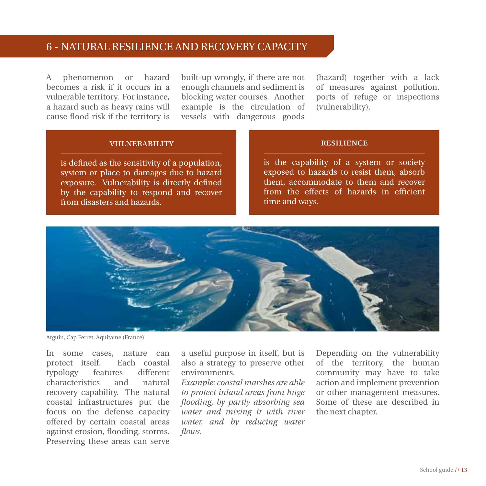# 6 - natural resilience and recovery capacity

A phenomenon or hazard becomes a risk if it occurs in a vulnerable territory. For instance, a hazard such as heavy rains will cause flood risk if the territory is

built-up wrongly, if there are not enough channels and sediment is blocking water courses. Another example is the circulation of vessels with dangerous goods

(hazard) together with a lack of measures against pollution, ports of refuge or inspections (vulnerability).

#### vulnerability

is defined as the sensitivity of a population, system or place to damages due to hazard exposure. Vulnerability is directly defined by the capability to respond and recover from disasters and hazards.

#### **RESILIENCE**

is the capability of a system or society exposed to hazards to resist them, absorb them, accommodate to them and recover from the effects of hazards in efficient time and ways.



Arguin, Cap Ferret, Aquitaine (France)

In some cases, nature can protect itself. Each coastal typology features different characteristics and natural recovery capability. The natural coastal infrastructures put the focus on the defense capacity offered by certain coastal areas against erosion, flooding, storms. Preserving these areas can serve

a useful purpose in itself, but is also a strategy to preserve other environments.

*Example: coastal marshes are able to protect inland areas from huge flooding, by partly absorbing sea water and mixing it with river water, and by reducing water flows.* 

Depending on the vulnerability of the territory, the human community may have to take action and implement prevention or other management measures. Some of these are described in the next chapter.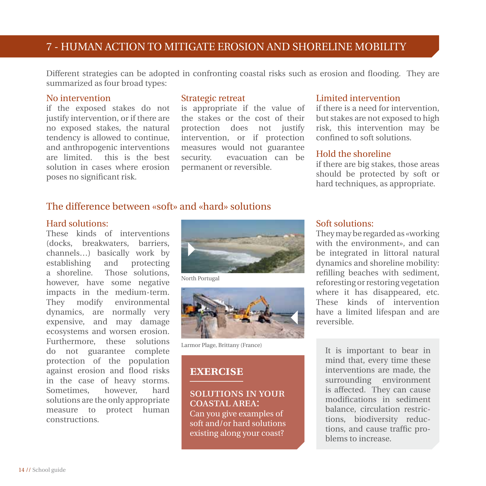# 7 - human action to mitigate erosion and shoreline mobility

Different strategies can be adopted in confronting coastal risks such as erosion and flooding. They are summarized as four broad types:

#### No intervention

if the exposed stakes do not justify intervention, or if there are no exposed stakes, the natural tendency is allowed to continue, and anthropogenic interventions are limited. this is the best solution in cases where erosion poses no significant risk.

#### Strategic retreat

is appropriate if the value of the stakes or the cost of their protection does not justify intervention, or if protection measures would not guarantee<br>security, evacuation can be evacuation can be permanent or reversible.

#### Limited intervention

if there is a need for intervention, but stakes are not exposed to high risk, this intervention may be confined to soft solutions.

#### Hold the shoreline

if there are big stakes, those areas should be protected by soft or hard techniques, as appropriate.

# The difference between «soft» and «hard» solutions

#### Hard solutions:

These kinds of interventions (docks, breakwaters, barriers, channels…) basically work by establishing and protecting a shoreline. Those solutions, however, have some negative impacts in the medium-term. They modify environmental dynamics, are normally very expensive, and may damage ecosystems and worsen erosion. Furthermore, these solutions do not guarantee complete protection of the population against erosion and flood risks in the case of heavy storms. Sometimes, however, hard solutions are the only appropriate measure to protect human constructions.



North Portugal



Larmor Plage, Brittany (France)

# **exercise**

#### solutions in your coastal area:

Can you give examples of soft and/or hard solutions existing along your coast?

#### Soft solutions:

They may be regarded as «working with the environment», and can be integrated in littoral natural dynamics and shoreline mobility: refilling beaches with sediment, reforesting or restoring vegetation where it has disappeared, etc. These kinds of intervention have a limited lifespan and are reversible.

It is important to bear in mind that, every time these interventions are made, the surrounding environment is affected. They can cause modifications in sediment balance, circulation restrictions, biodiversity reductions, and cause traffic problems to increase.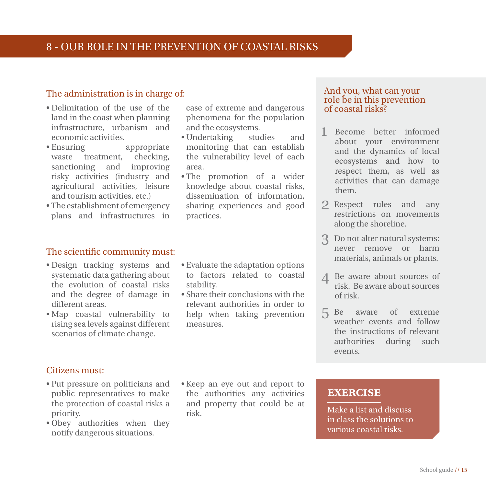# The administration is in charge of:

- Delimitation of the use of the land in the coast when planning infrastructure, urbanism and economic activities.
- Ensuring appropriate waste treatment, checking, sanctioning and improving risky activities (industry and agricultural activities, leisure and tourism activities, etc.)
- The establishment of emergency plans and infrastructures in

#### The scientific community must:

- Design tracking systems and systematic data gathering about the evolution of coastal risks and the degree of damage in different areas.
- Map coastal vulnerability to rising sea levels against different scenarios of climate change.

Citizens must:

- Put pressure on politicians and public representatives to make the protection of coastal risks a priority.
- Obey authorities when they notify dangerous situations.

case of extreme and dangerous phenomena for the population and the ecosystems.

- Undertaking studies and monitoring that can establish the vulnerability level of each area.
- The promotion of a wider knowledge about coastal risks, dissemination of information. sharing experiences and good practices.
- Evaluate the adaptation options to factors related to coastal stability.
- Share their conclusions with the relevant authorities in order to help when taking prevention measures.

#### And you, what can your role be in this prevention of coastal risks?

- 1 Become better informed about your environment and the dynamics of local ecosystems and how to respect them, as well as activities that can damage them.
- 2 Respect rules and any restrictions on movements along the shoreline.
- Do not alter natural systems: 3 never remove or harm materials, animals or plants.
- 4 Be aware about sources of risk. Be aware about sources of risk.
- aware of extreme weather events and follow the instructions of relevant authorities during such events. 5
- Keep an eye out and report to the authorities any activities and property that could be at risk.

# **exercise**

Make a list and discuss in class the solutions to various coastal risks.